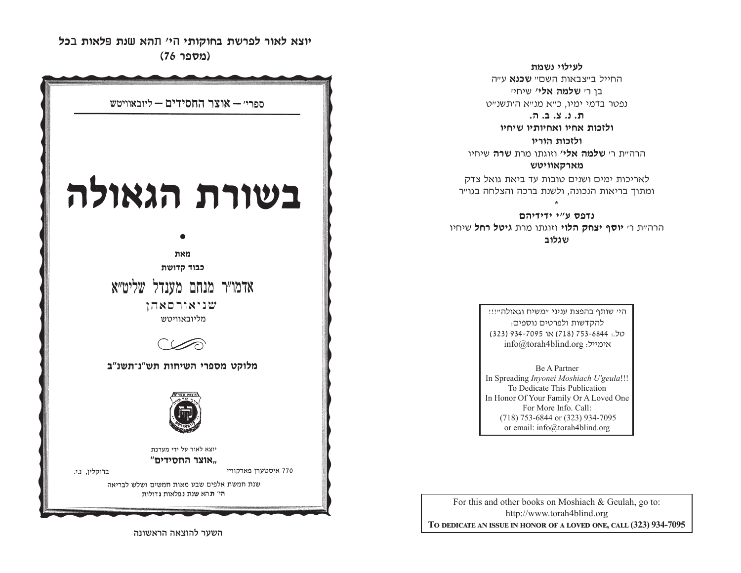**fk c ktu, p b, a vt , hw <sup>v</sup> humt ktur kpra, cjueu,h (מספר 76)** 

**לעילוי נשמת** 

החייל ר״צראות השח״ **שכנא** ע״ה בו ר*י* **שלמה אלי'** שיחיי נפטר בדמי ימיו, כ״א מנ״א ה׳תשנ״ט

**,/ b/ m/ c/ v/**

ולזכות אחיו ואחיותיו שיחיו

**ולזכות הוריו** 

הרה״ת ר׳ **שלמה אלי׳** וזוגתו מרת **שרה** שיחיו

**מארקאוויטש** 

לאריכות ימים ושנים טובות עד ביאת גואל צדק ומתוך בריאות הנכונה, ולשנת ברכה והצלחה בגו״ר \*

נדפס ע"י ידידיהם הרה״ת ר׳ **יוסף יצחק הלוי** וזוגתו מרת **גיטל רחל** שיחיו **שגלוב** 

> היי שותף בהפצת עניני "משיח וגאולה"!!! להקדשות ולפרטים נוספים: yk/: 4486-357 )817( tu 5907-439 )323( info@torah4blind.org אימייל:

Be A PartnerIn Spreading *Inyonei Moshiach U'geula*!!! To Dedicate This Publication For More Info. Call: (718) 753-6844 or (323) 934-7095 or email: info@torah4blind.org

In Honor Of Your Family Or A Loved One

For this and other books on Moshiach & Geulah, go to: http://www.torah4blind.org  $\bf{To \textbf{ DEDICATE \textbf{AN} \textbf{ ISSUE} \textbf{IN} \textbf{ HONOR} \textbf{OF} \textbf{A} \textbf{ LOVED} \textbf{ONE}, \textbf{CALL} \textbf{(323) } 934\textbf{-7095}}$ 



השער להוצאה הראשונה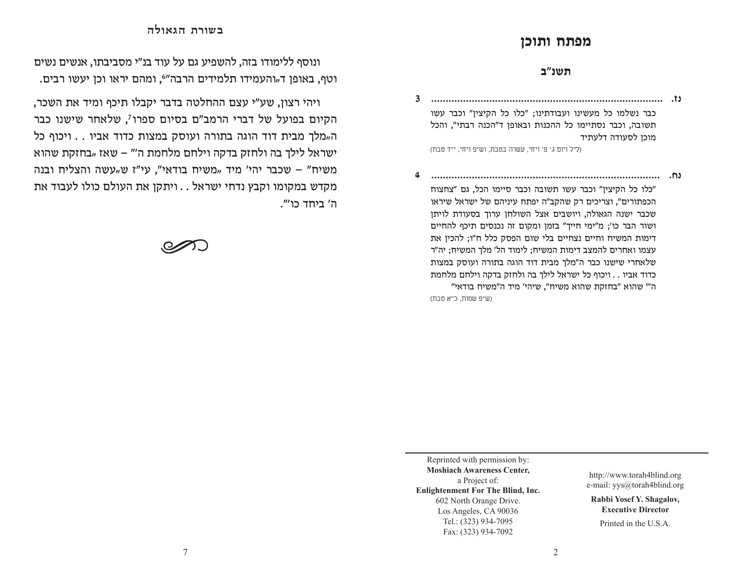## מפתח ותוכן

## **תשנ"ב**

**bz/ //////////////////////////////////////////////////////////////////////////////// 3**כבר נשלמו כל מעשינו ועבודתינו; "כלו כל הקיצין" וכבר עשו תשובה, וכבר נסתיימו כל ההכנות ובאופן ד"הכנה רבתי", והכל מוכן לסעודה דלעתיד

(ליל ויום ג' פ' ויחי, עשרה בטבת, וש״פ ויחי, י״ד טבת)

**bj/ /////////////////////////////////////////////////////////////////////////////// 4**"כלו כל הקיצין" וכבר עשו תשובה וכבר סיימו הכל, גם "צחצוח" הכפתורים", וצריכים רק שהקב"ה יפתח עיניהם של ישראל שיראו שכבר ישנה הגאולה, ויושבים אצל השולחן ערוך בסעודת לויתן ושור הבר כו'; מ"ימי חייך" בזמן ומקום זה נכנסים תיכף להחיים דימות המשיח וחיים נצחיים בלי שום הפסק כלל ח"ו; להכין את עצמו ואחרים להמצב דימות המשיח; לימוד הל' מלך המשיח; יה"ר שלאחרי שישנו כבר ה"מלך מבית דוד הוגה בתורה ועוסק במצות כדוד אביו . . ויכוף כל ישראל לילך בה ולחזק בדקה וילחם מלחמת ה" שהוא "בחזקת שהוא משיח", שיהי' מיד ה"משיח בודאי" (ש״פ שמות, כ״א טבת)

ונוסף ללימודו בזה, להשפיע גם על עוד בנ"י מסביבתו, אנשים נשים וטף, באופן ד<sub>"</sub>והעמידו תלמידים הרבה"<sup>6</sup>, ומהם יראו וכן יעשו רבים.

בשורת הגאולה

ויהי רצון, שע"י עצם ההחלטה בדבר יקבלו תיכף ומיד את השכר, הקיום בפועל של דברי הרמב"ם בסיום ספרו<sup>7</sup>, שלאחר שישנו כבר ה"מלך מבית דוד הוגה בתורה ועוסק במצות כדוד אביו . . ויכוף כל  $h$ ישראל לילך בה ולחזק בדקה וילחם מלחמת ה" $-$  שאז "בחזקת שהוא משיח" – שכבר יהי' מיד "משיח בודאי", עי"ז ש"עשה והצליח ובנה מקדש במקומו וקבץ נדחי ישראל . . ויתקן את העולם כולו לעבוד את ה' ביחד כו'".

Reprinted with permission by: **Moshiach Awareness Center,** a Project of: **Enlightenment For The Blind, Inc.** 602 North Orange Drive. Los Angeles, CA 90036 Tel.: (323) 934-7095 Fax: (323) 934-7092

http://www.torah4blind.org e-mail: yys@torah4blind.org

**Rabbi Yosef Y. Shagalov, Executive Director**

Printed in the U.S.A.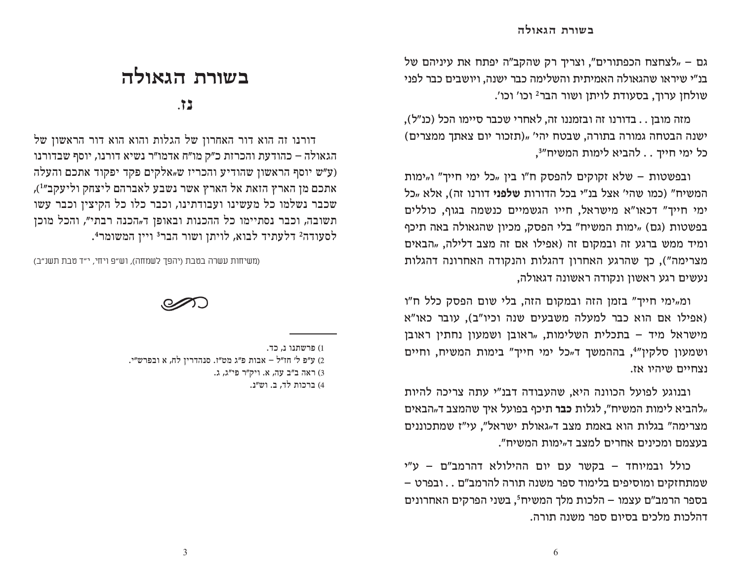גם – "לצחצח הכפתורים", וצריך רק שהקב"ה יפתח את עיניהם של בנ"י שיראו שהגאולה האמיתית והשלימה כבר ישנה. ויושבים כבר לפני שולחן ערוך, בסעודת לויתן ושור הבר2 וכו' וכו'.

מזה מובן . . בדורנו זה ובזמננו זה, לאחרי שכבר סיימו הכל (כנ"ל), ישנה הבטחה גמורה בתורה, שבטח יהי' "(תזכור יום צאתך ממצרים) כל ימי חייך . . להביא לימות המשיח"<sup>3</sup>,

ובפשטות - שלא זקוקים להפסק ח"ו בין "כל ימי חייך" ו"ימות המשיח" (כמו שהי' אצל בנ"י בכל הדורות שלפני דורנו זה), אלא "כל ימי חייך" דכאו"א מישראל, חייו הגשמיים כנשמה בגוף, כוללים בפשטות (גם) "ימות המשיח" בלי הפסק, מכיון שהגאולה באה תיכף ומיד ממש ברגע זה ובמקום זה (אפילו אם זה מצב דלילה, "הבאים מצרימה"). כך שהרגע האחרון דהגלות והנקודה האחרונה דהגלות נעשים רגע ראשון ונקודה ראשונה דגאולה.

ומ"ימי חייך" בזמן הזה ובמקום הזה, בלי שום הפסק כלל ח"ו (אפילו אם הוא כבר למעלה משבעים שנה וכיו"ב), עובר כאו"א מישראל מיד – בתכלית השלימות, "ראובן ושמעון נחתין ראובן ושמעוו סלקיו"<sup>4</sup>. בההמשד ד<sub>"</sub>כל ימי חייד" בימות המשיח. וחיים נצחיים שיהיו אז.

ובנוגע לפועל הכוונה היא, שהעבודה דבנ"י עתה צריכה להיות "להביא לימות המשיח", לגלות כבר תיכף בפועל איך שהמצב ד<sub>"</sub>הבאים מצרימה" בגלות הוא באמת מצב ד<sub>"</sub>גאולת ישראל", עי"ז שמתכוננים בעצמם ומכינים אחרים למצב ד"ימות המשיח".

כולל ובמיוחד – בקשר עם יום ההילולא דהרמב"ם – ע"י שמתחזקים ומוסיפים בלימוד ספר משנה תורה להרמב"ם . . ובפרט – בספר הרמב"ם עצמו – הלכות מלך המשיחי, בשני הפרקים האחרונים דהלכות מלכים בסיום ספר משנה תורה.

## בשורת הגאולה

 $\cdot$  7.3

דורנו זה הוא דור האחרון של הגלות והוא הוא דור הראשון של הגאולה – כהודעת והכרזת כ״ק מו״ח אדמו״ר נשיא דורנו, יוסף שבדורנו (ע״ש יוסף הראשון שהודיע והכריז שµאלקים פקד יפקוד אתכם והעלה אתכם מן הארץ הזאת אל הארץ אשר נשבע לאברהם ליצחק וליעקב״<sup>1</sup>), שכבר נשלמו כל מעשינו ועבודתינו, וכבר כלו כל הקיצין וכבר עשו תשובה, וכבר נסתיימו כל ההכנות ובאופן ד"הכנה רבתי", והכל מוכן לסעודה<sup>2</sup> דלעתיד לבוא, לויתן ושור הבר<sup>3</sup> ויין המשומר<del>!</del>.

(משיחות עשרה בטבת (יהפך לשמחה), וש״פ ויחי, י״ד טבת תשנ״ב)



6

<sup>1)</sup> פרשתנו נ, כד. 2) ע״פ ל׳ חז״ל – אבות פ״ג מט״ז. סנהדרין לח, א ובפרש״י. 3) ראה ב"ב עה, א. ויק"ר פי"ג, ג. 4) ברכות לד, ב. וש״נ.